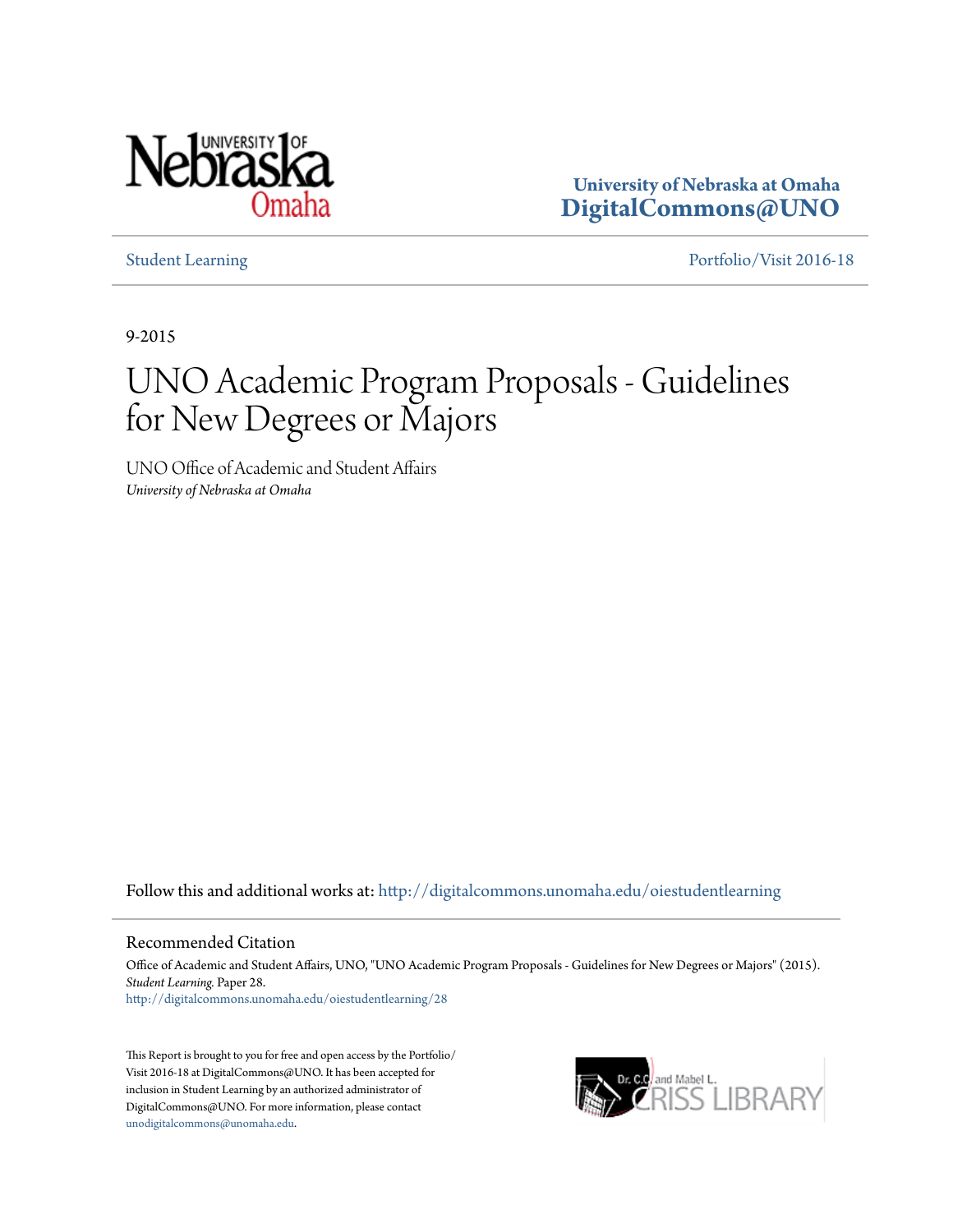

**University of Nebraska at Omaha [DigitalCommons@UNO](http://digitalcommons.unomaha.edu?utm_source=digitalcommons.unomaha.edu%2Foiestudentlearning%2F28&utm_medium=PDF&utm_campaign=PDFCoverPages)**

[Student Learning](http://digitalcommons.unomaha.edu/oiestudentlearning?utm_source=digitalcommons.unomaha.edu%2Foiestudentlearning%2F28&utm_medium=PDF&utm_campaign=PDFCoverPages) [Portfolio/Visit 2016-18](http://digitalcommons.unomaha.edu/oieportfolio?utm_source=digitalcommons.unomaha.edu%2Foiestudentlearning%2F28&utm_medium=PDF&utm_campaign=PDFCoverPages)

9-2015

# UNO Academic Program Proposals - Guidelines for New Degrees or Majors

UNO Office of Academic and Student Affairs *University of Nebraska at Omaha*

Follow this and additional works at: [http://digitalcommons.unomaha.edu/oiestudentlearning](http://digitalcommons.unomaha.edu/oiestudentlearning?utm_source=digitalcommons.unomaha.edu%2Foiestudentlearning%2F28&utm_medium=PDF&utm_campaign=PDFCoverPages)

Recommended Citation

Office of Academic and Student Affairs, UNO, "UNO Academic Program Proposals - Guidelines for New Degrees or Majors" (2015). *Student Learning.* Paper 28.

[http://digitalcommons.unomaha.edu/oiestudentlearning/28](http://digitalcommons.unomaha.edu/oiestudentlearning/28?utm_source=digitalcommons.unomaha.edu%2Foiestudentlearning%2F28&utm_medium=PDF&utm_campaign=PDFCoverPages)

This Report is brought to you for free and open access by the Portfolio/ Visit 2016-18 at DigitalCommons@UNO. It has been accepted for inclusion in Student Learning by an authorized administrator of DigitalCommons@UNO. For more information, please contact [unodigitalcommons@unomaha.edu](mailto:unodigitalcommons@unomaha.edu).

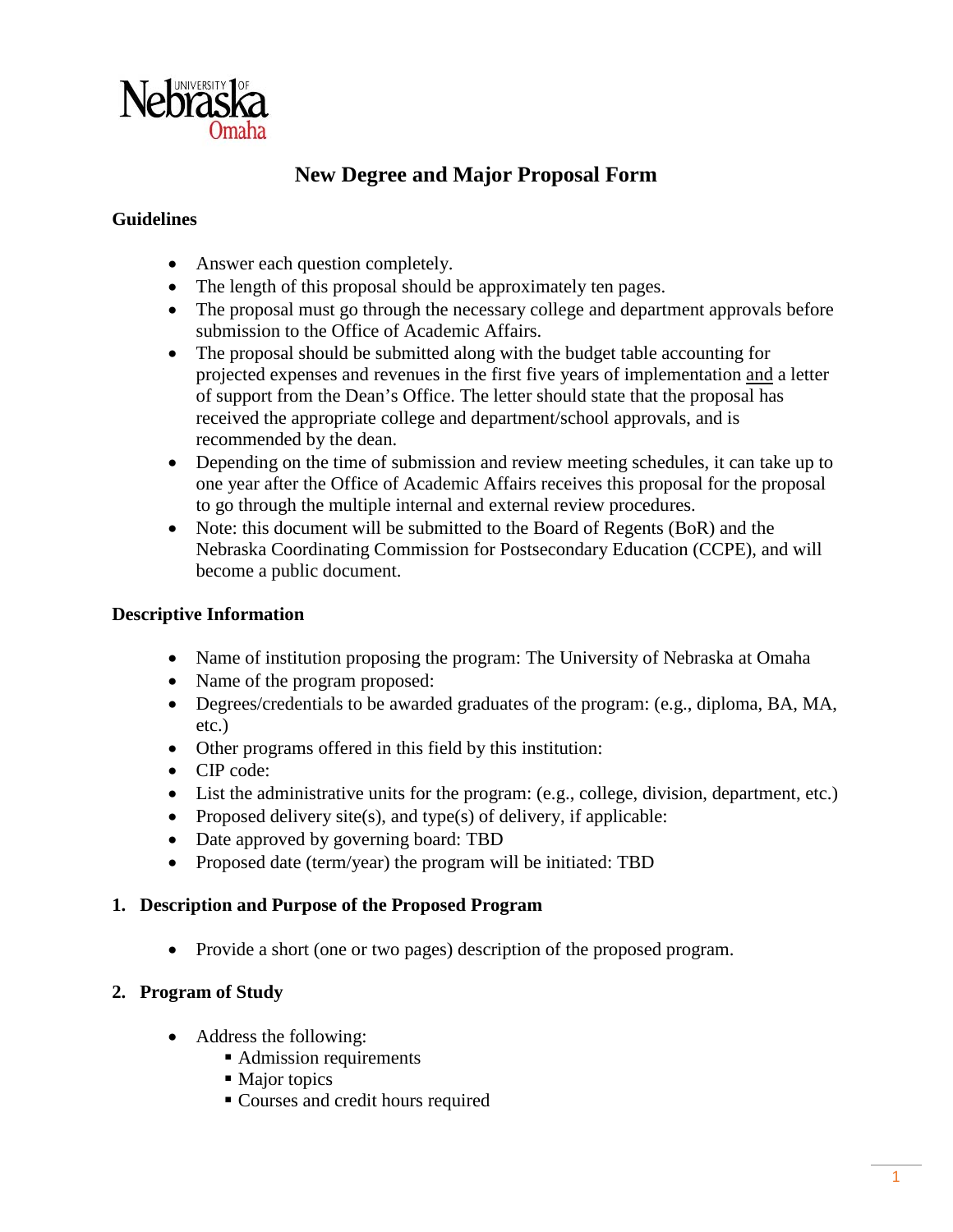

# **New Degree and Major Proposal Form**

#### **Guidelines**

- Answer each question completely.
- The length of this proposal should be approximately ten pages.
- The proposal must go through the necessary college and department approvals before submission to the Office of Academic Affairs.
- The proposal should be submitted along with the budget table accounting for projected expenses and revenues in the first five years of implementation and a letter of support from the Dean's Office. The letter should state that the proposal has received the appropriate college and department/school approvals, and is recommended by the dean.
- Depending on the time of submission and review meeting schedules, it can take up to one year after the Office of Academic Affairs receives this proposal for the proposal to go through the multiple internal and external review procedures.
- Note: this document will be submitted to the Board of Regents (BoR) and the Nebraska Coordinating Commission for Postsecondary Education (CCPE), and will become a public document.

#### **Descriptive Information**

- Name of institution proposing the program: The University of Nebraska at Omaha
- Name of the program proposed:
- Degrees/credentials to be awarded graduates of the program: (e.g., diploma, BA, MA, etc.)
- Other programs offered in this field by this institution:
- CIP code:
- List the administrative units for the program: (e.g., college, division, department, etc.)
- Proposed delivery site(s), and type(s) of delivery, if applicable:
- Date approved by governing board: TBD
- Proposed date (term/year) the program will be initiated: TBD

#### **1. Description and Purpose of the Proposed Program**

• Provide a short (one or two pages) description of the proposed program.

# **2. Program of Study**

- Address the following:
	- Admission requirements
	- Major topics
	- Courses and credit hours required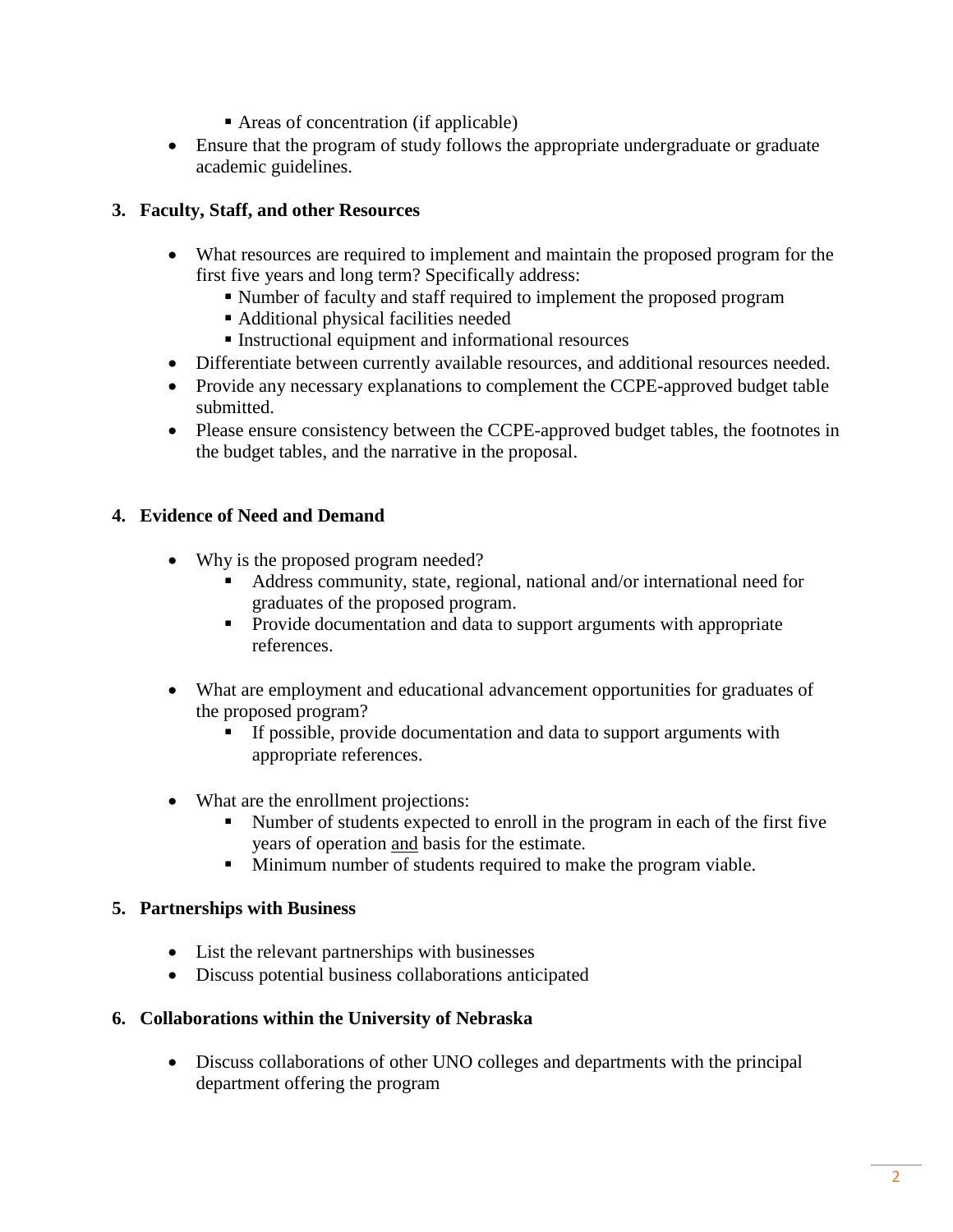- Areas of concentration (if applicable)
- Ensure that the program of study follows the appropriate undergraduate or graduate academic guidelines.

# **3. Faculty, Staff, and other Resources**

- What resources are required to implement and maintain the proposed program for the first five years and long term? Specifically address:
	- Number of faculty and staff required to implement the proposed program
	- Additional physical facilities needed
	- Instructional equipment and informational resources
- Differentiate between currently available resources, and additional resources needed.
- Provide any necessary explanations to complement the CCPE-approved budget table submitted.
- Please ensure consistency between the CCPE-approved budget tables, the footnotes in the budget tables, and the narrative in the proposal.

# **4. Evidence of Need and Demand**

- Why is the proposed program needed?
	- Address community, state, regional, national and/or international need for graduates of the proposed program.
	- **Provide documentation and data to support arguments with appropriate** references.
- What are employment and educational advancement opportunities for graduates of the proposed program?
	- If possible, provide documentation and data to support arguments with appropriate references.
- What are the enrollment projections:
	- Number of students expected to enroll in the program in each of the first five years of operation and basis for the estimate.
	- **Minimum number of students required to make the program viable.**

#### **5. Partnerships with Business**

- List the relevant partnerships with businesses
- Discuss potential business collaborations anticipated

#### **6. Collaborations within the University of Nebraska**

• Discuss collaborations of other UNO colleges and departments with the principal department offering the program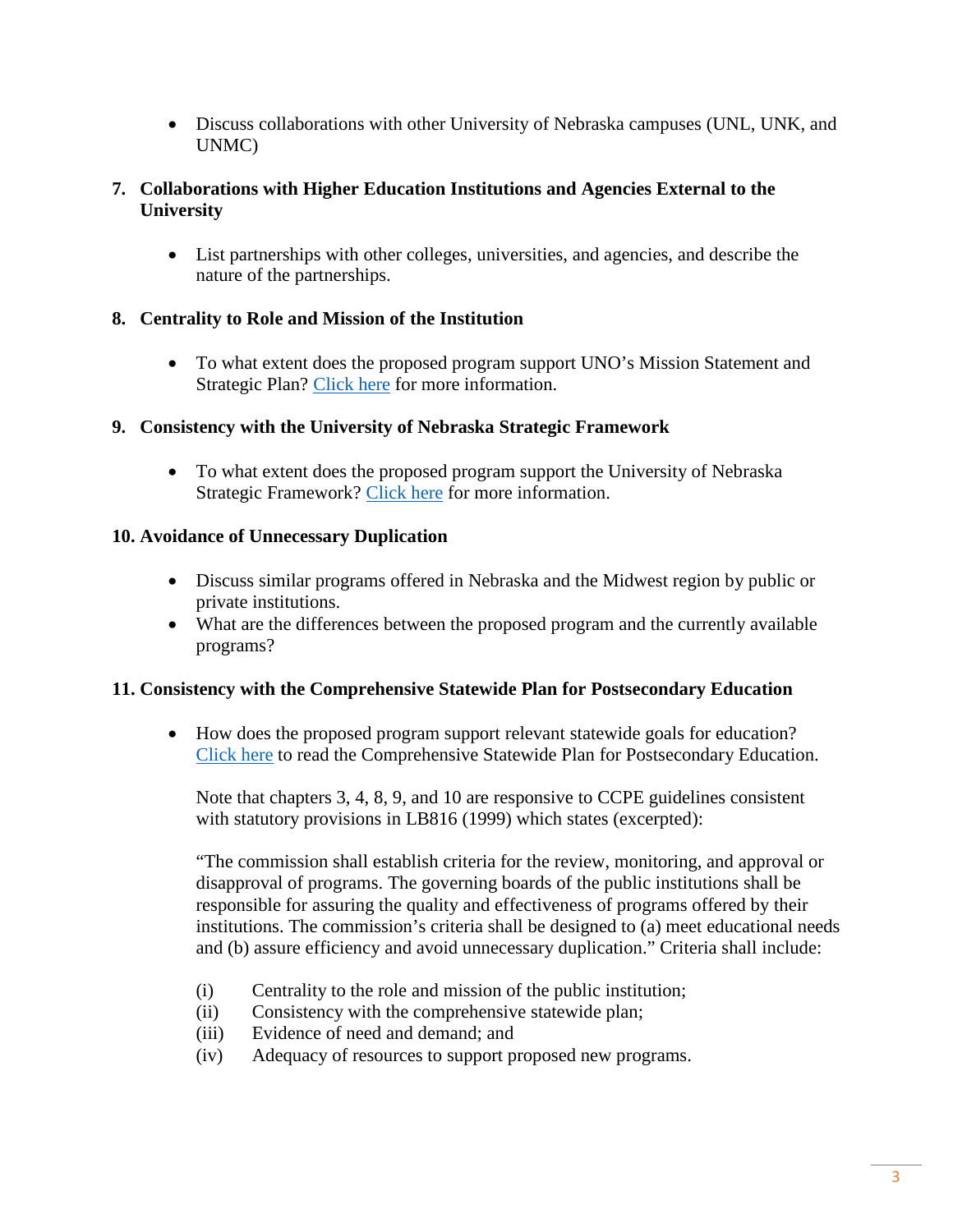• Discuss collaborations with other University of Nebraska campuses (UNL, UNK, and UNMC)

#### **7. Collaborations with Higher Education Institutions and Agencies External to the University**

• List partnerships with other colleges, universities, and agencies, and describe the nature of the partnerships.

#### **8. Centrality to Role and Mission of the Institution**

• To what extent does the proposed program support UNO's Mission Statement and Strategic Plan? [Click here](http://www.unomaha.edu/strategic-plan/index.php) for more information.

#### **9. Consistency with the University of Nebraska Strategic Framework**

• To what extent does the proposed program support the University of Nebraska Strategic Framework? [Click here](http://nebraska.edu/strategic-framework.html) for more information.

#### **10. Avoidance of Unnecessary Duplication**

- Discuss similar programs offered in Nebraska and the Midwest region by public or private institutions.
- What are the differences between the proposed program and the currently available programs?

#### **11. Consistency with the Comprehensive Statewide Plan for Postsecondary Education**

• How does the proposed program support relevant statewide goals for education? [Click here](https://ccpe.nebraska.gov/sites/ccpe.nebraska.gov/files/doc/CompPlan.pdf) to read the Comprehensive Statewide Plan for Postsecondary Education.

Note that chapters 3, 4, 8, 9, and 10 are responsive to CCPE guidelines consistent with statutory provisions in LB816 (1999) which states (excerpted):

"The commission shall establish criteria for the review, monitoring, and approval or disapproval of programs. The governing boards of the public institutions shall be responsible for assuring the quality and effectiveness of programs offered by their institutions. The commission's criteria shall be designed to (a) meet educational needs and (b) assure efficiency and avoid unnecessary duplication." Criteria shall include:

- (i) Centrality to the role and mission of the public institution;
- (ii) Consistency with the comprehensive statewide plan;
- (iii) Evidence of need and demand; and
- (iv) Adequacy of resources to support proposed new programs.